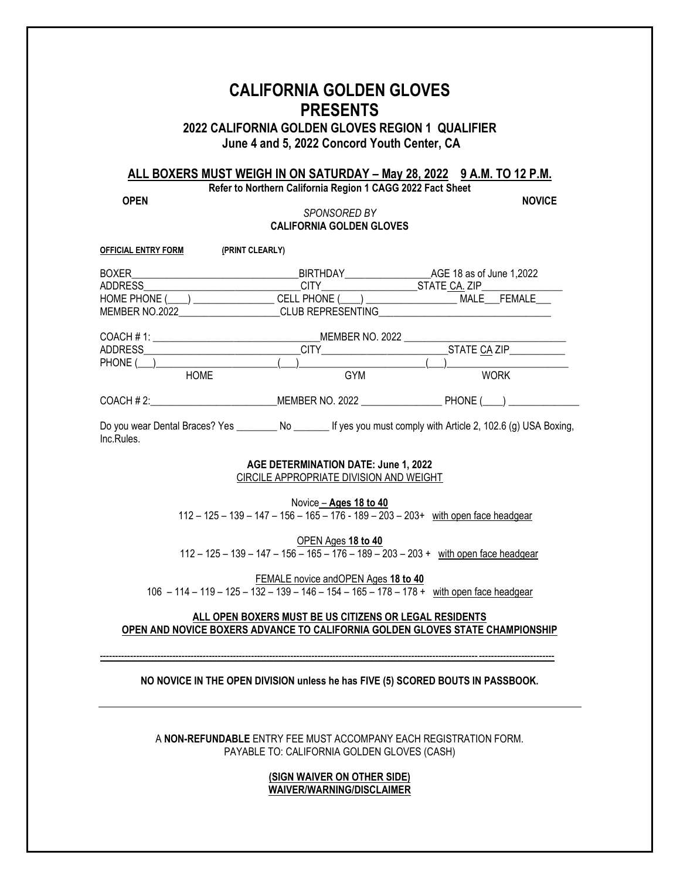# **CALIFORNIA GOLDEN GLOVES PRESENTS**

**2022 CALIFORNIA GOLDEN GLOVES REGION 1 QUALIFIER June 4 and 5, 2022 Concord Youth Center, CA**

# **ALL BOXERS MUST WEIGH IN ON SATURDAY – May 28, 2022 9 A.M. TO 12 P.M.**

**Refer to Northern California Region 1 CAGG 2022 Fact Sheet**

**OPEN NOVICE**

### *SPONSORED BY* **CALIFORNIA GOLDEN GLOVES**

| <b>OFFICIAL ENTRY FORM</b>     | (PRINT CLEARLY)                                                                               |                                   |                                                               |              |
|--------------------------------|-----------------------------------------------------------------------------------------------|-----------------------------------|---------------------------------------------------------------|--------------|
| BOXER                          |                                                                                               | BIRTHDAY AGE 18 as of June 1,2022 |                                                               |              |
|                                |                                                                                               | CITY ___________                  | ________STATE_CA. ZIP_____________                            |              |
|                                | HOME PHONE (____) _________________CELL PHONE (____) ______________________MALE____FEMALE____ |                                   |                                                               |              |
| MEMBER NO.2022                 |                                                                                               | <b>CLUB REPRESENTING</b>          |                                                               |              |
|                                |                                                                                               | MEMBER NO. 2022                   |                                                               |              |
|                                |                                                                                               |                                   |                                                               | STATE CA ZIP |
| PHONE ( )                      |                                                                                               |                                   |                                                               |              |
| <b>HOME</b>                    |                                                                                               | <b>GYM</b>                        |                                                               | <b>WORK</b>  |
| COACH # 2:                     |                                                                                               | MEMBER NO. 2022                   |                                                               | PHONE ( )    |
| Do you wear Dental Braces? Yes | N∩                                                                                            |                                   | If yes you must comply with Article $2, 102.6$ (g) USA Boxing |              |

I Wear Dental Braces? Yes \_\_\_\_\_\_\_\_ No \_\_\_\_\_\_\_ If yes you must comply with Article 2, 102.6 (g) USA Boxing, Inc.Rules.

#### **AGE DETERMINATION DATE: June 1, 2022** CIRCILE APPROPRIATE DIVISION AND WEIGHT

Novice – **Ages 18 to 40**

112 – 125 – 139 – 147 – 156 – 165 – 176 - 189 – 203 – 203+ with open face headgear

OPEN Ages **18 to 40**

112 – 125 – 139 – 147 – 156  $-$  165 – 176 – 189 – 203 – 203 + with open face headgear

FEMALE novice andOPEN Ages **18 to 40** 106 – 114 – 119 – 125 – 1 $\overline{32}$  – 139 – 146 – 154 – 165 – 178 – 178 + with open face headgear

## **ALL OPEN BOXERS MUST BE US CITIZENS OR LEGAL RESIDENTS OPEN AND NOVICE BOXERS ADVANCE TO CALIFORNIA GOLDEN GLOVES STATE CHAMPIONSHIP**

### **NO NOVICE IN THE OPEN DIVISION unless he has FIVE (5) SCORED BOUTS IN PASSBOOK.**

------------------------------------------------------------------------------------------------------------------------------------------------------

A **NON-REFUNDABLE** ENTRY FEE MUST ACCOMPANY EACH REGISTRATION FORM. PAYABLE TO: CALIFORNIA GOLDEN GLOVES (CASH)

> **(SIGN WAIVER ON OTHER SIDE) WAIVER/WARNING/DISCLAIMER**